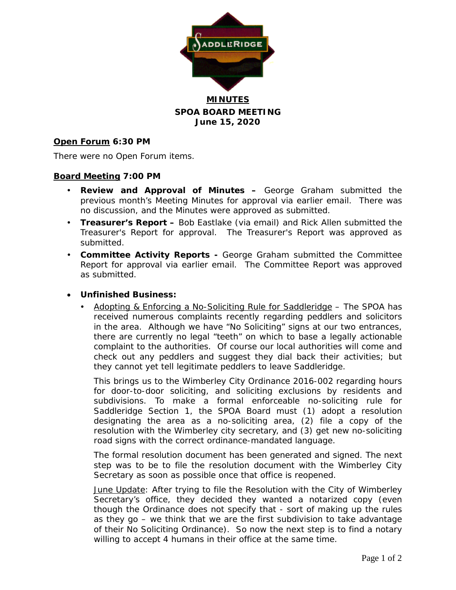

## **MINUTES SPOA BOARD MEETING June 15, 2020**

## **Open Forum 6:30 PM**

There were no Open Forum items.

## **Board Meeting 7:00 PM**

- **Review and Approval of Minutes –** George Graham submitted the previous month's Meeting Minutes for approval via earlier email. There was no discussion, and the Minutes were approved as submitted.
- **Treasurer's Report –** Bob Eastlake (via email) and Rick Allen submitted the Treasurer's Report for approval. The Treasurer's Report was approved as submitted.
- **Committee Activity Reports -** George Graham submitted the Committee Report for approval via earlier email. The Committee Report was approved as submitted.

## • **Unfinished Business:**

 Adopting & Enforcing a No-Soliciting Rule for Saddleridge – The SPOA has received numerous complaints recently regarding peddlers and solicitors in the area. Although we have "No Soliciting" signs at our two entrances, there are currently no legal "teeth" on which to base a legally actionable complaint to the authorities. Of course our local authorities will come and check out any peddlers and suggest they dial back their activities; but they cannot yet tell legitimate peddlers to leave Saddleridge.

This brings us to the Wimberley City Ordinance 2016-002 regarding hours for door-to-door soliciting, and soliciting exclusions by residents and subdivisions. To make a formal enforceable no-soliciting rule for Saddleridge Section 1, the SPOA Board must (1) adopt a resolution designating the area as a no-soliciting area, (2) file a copy of the resolution with the Wimberley city secretary, and (3) get new no-soliciting road signs with the correct ordinance-mandated language.

The formal resolution document has been generated and signed. The next step was to be to file the resolution document with the Wimberley City Secretary as soon as possible once that office is reopened.

June Update: After trying to file the Resolution with the City of Wimberley Secretary's office, they decided they wanted a notarized copy (even though the Ordinance does not specify that - sort of making up the rules as they go – we think that we are the first subdivision to take advantage of their No Soliciting Ordinance). So now the next step is to find a notary willing to accept 4 humans in their office at the same time.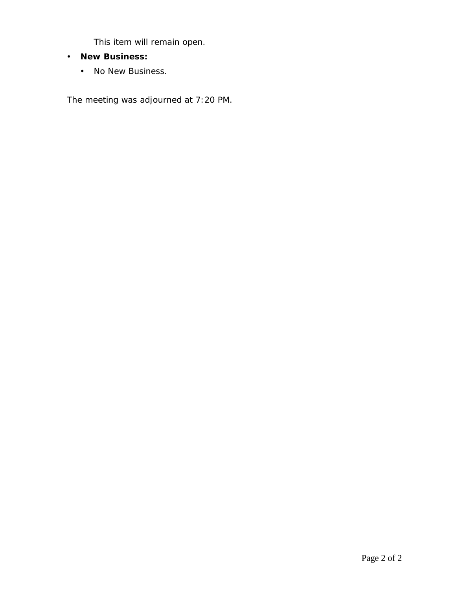This item will remain open.

- **New Business:**
	- No New Business.

The meeting was adjourned at 7:20 PM.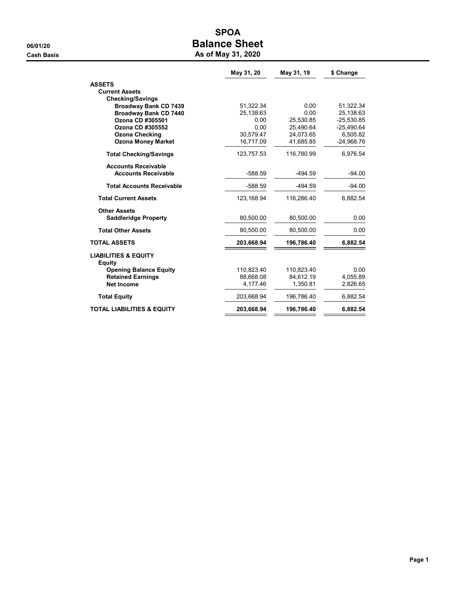## SPOA 06/01/20 **Balance Sheet** Cash Basis **As of May 31, 2020**

|                                                  | May 31, 20 | May 31, 19 | \$ Change    |
|--------------------------------------------------|------------|------------|--------------|
| <b>ASSETS</b>                                    |            |            |              |
| <b>Current Assets</b>                            |            |            |              |
| <b>Checking/Savings</b>                          |            |            |              |
| <b>Broadway Bank CD 7439</b>                     | 51,322.34  | 0.00       | 51,322.34    |
| <b>Broadway Bank CD 7440</b>                     | 25,138.63  | 0.00       | 25,138.63    |
| Ozona CD #305501                                 | 0.00       | 25.530.85  | $-25.530.85$ |
| Ozona CD #305552                                 | 0.00       | 25,490.64  | $-25,490.64$ |
| <b>Ozona Checking</b>                            | 30,579.47  | 24,073.65  | 6,505.82     |
| <b>Ozona Money Market</b>                        | 16,717.09  | 41,685.85  | -24,968.76   |
| <b>Total Checking/Savings</b>                    | 123,757.53 | 116,780.99 | 6,976.54     |
| <b>Accounts Receivable</b>                       |            |            |              |
| <b>Accounts Receivable</b>                       | $-588.59$  | $-494.59$  | $-94.00$     |
| <b>Total Accounts Receivable</b>                 | $-588.59$  | $-494.59$  | $-94.00$     |
| <b>Total Current Assets</b>                      | 123,168.94 | 116,286.40 | 6,882.54     |
| <b>Other Assets</b>                              |            |            |              |
| <b>Saddleridge Property</b>                      | 80,500.00  | 80,500.00  | 0.00         |
| <b>Total Other Assets</b>                        | 80.500.00  | 80,500.00  | 0.00         |
| <b>TOTAL ASSETS</b>                              | 203,668.94 | 196,786.40 | 6,882.54     |
| <b>LIABILITIES &amp; EQUITY</b><br><b>Equity</b> |            |            |              |
| <b>Opening Balance Equity</b>                    | 110.823.40 | 110.823.40 | 0.00         |
| <b>Retained Earnings</b>                         | 88,668.08  | 84,612.19  | 4,055.89     |
| Net Income                                       | 4,177.46   | 1,350.81   | 2,826.65     |
| <b>Total Equity</b>                              | 203,668.94 | 196,786.40 | 6,882.54     |
| <b>TOTAL LIABILITIES &amp; EQUITY</b>            | 203,668.94 | 196,786.40 | 6,882.54     |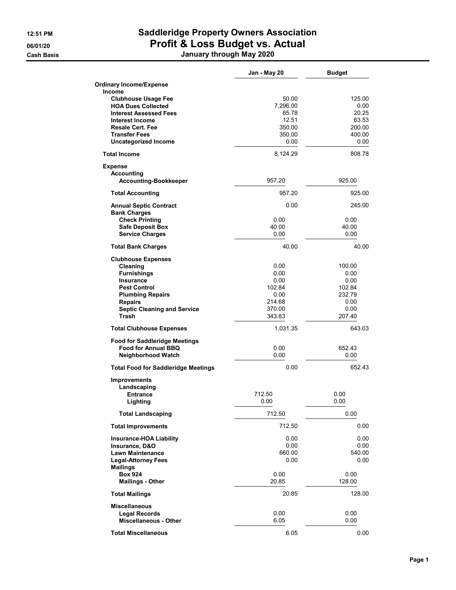**Cash Basis** 

# 12:51 PM Saddleridge Property Owners Association 06/01/20 **Profit & Loss Budget vs. Actual**

| January through May 2020 |              |  |  |
|--------------------------|--------------|--|--|
|                          | Jan - May 20 |  |  |
| Expense                  |              |  |  |

**Budget** 

| <b>Ordinary Income/Expense</b>             |          |        |
|--------------------------------------------|----------|--------|
| Income                                     |          |        |
| <b>Clubhouse Usage Fee</b>                 | 50.00    | 125.00 |
| <b>HOA Dues Collected</b>                  | 7,296.00 | 0.00   |
| <b>Interest Assessed Fees</b>              | 65.78    | 20.25  |
| Interest Income                            | 12.51    | 63.53  |
| <b>Resale Cert. Fee</b>                    | 350.00   | 200.00 |
| <b>Transfer Fees</b>                       | 350.00   | 400.00 |
| <b>Uncategorized Income</b>                | 0.00     | 0.00   |
| <b>Total Income</b>                        | 8,124.29 | 808.78 |
| <b>Expense</b>                             |          |        |
| Accounting                                 |          |        |
| <b>Accounting-Bookkeeper</b>               | 957.20   | 925.00 |
| <b>Total Accounting</b>                    | 957.20   | 925.00 |
| <b>Annual Septic Contract</b>              | 0.00     | 245.00 |
| <b>Bank Charges</b>                        |          |        |
| <b>Check Printing</b>                      | 0.00     | 0.00   |
| <b>Safe Deposit Box</b>                    | 40.00    | 40.00  |
| <b>Service Charges</b>                     | 0.00     | 0.00   |
| <b>Total Bank Charges</b>                  | 40.00    | 40.00  |
| <b>Clubhouse Expenses</b>                  |          |        |
| Cleaning                                   | 0.00     | 100.00 |
| <b>Furnishings</b>                         | 0.00     | 0.00   |
| Insurance                                  | 0.00     | 0.00   |
| <b>Pest Control</b>                        | 102.84   | 102.84 |
| <b>Plumbing Repairs</b>                    | 0.00     | 232.79 |
| <b>Repairs</b>                             | 214.68   | 0.00   |
| <b>Septic Cleaning and Service</b>         | 370.00   | 0.00   |
| Trash                                      | 343.83   | 207.40 |
| <b>Total Clubhouse Expenses</b>            | 1,031.35 | 643.03 |
| <b>Food for Saddleridge Meetings</b>       |          |        |
| <b>Food for Annual BBQ</b>                 | 0.00     | 652.43 |
| <b>Neighborhood Watch</b>                  | 0.00     | 0.00   |
|                                            |          |        |
| <b>Total Food for Saddleridge Meetings</b> | 0.00     | 652.43 |
| <b>Improvements</b>                        |          |        |
| Landscaping                                |          |        |
| <b>Entrance</b>                            | 712.50   | 0.00   |
| Lighting                                   | 0.00     | 0.00   |
| <b>Total Landscaping</b>                   | 712.50   | 0.00   |
| <b>Total Improvements</b>                  | 712.50   | 0.00   |
| <b>Insurance-HOA Liability</b>             | 0.00     | 0.00   |
| Insurance, D&O                             | 0.00     | 0.00   |
| <b>Lawn Maintenance</b>                    | 660.00   | 540.00 |
| <b>Legal-Attorney Fees</b>                 | 0.00     | 0.00   |
| <b>Mailings</b>                            |          |        |
| <b>Box 924</b>                             | 0.00     | 0.00   |
| <b>Mailings - Other</b>                    | 20.85    | 128.00 |
| <b>Total Mailings</b>                      | 20.85    | 128.00 |
| <b>Miscellaneous</b>                       |          |        |
| <b>Legal Records</b>                       | 0.00     | 0.00   |
| <b>Miscellaneous - Other</b>               | 6.05     | 0.00   |
|                                            |          |        |
| <b>Total Miscellaneous</b>                 | 6.05     | 0.00   |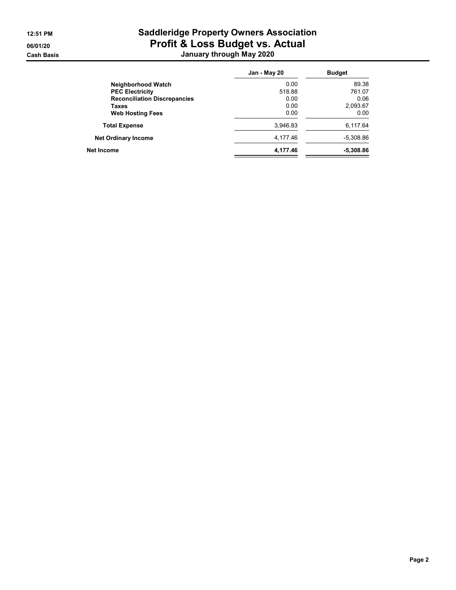## 12:51 PM Saddleridge Property Owners Association 06/01/20 **Profit & Loss Budget vs. Actual** Cash Basis January through May 2020

|                                     | Jan - May 20 | <b>Budget</b> |
|-------------------------------------|--------------|---------------|
| Neighborhood Watch                  | 0.00         | 89.38         |
| <b>PEC Electricity</b>              | 518.88       | 761.07        |
| <b>Reconciliation Discrepancies</b> | 0.00         | 0.06          |
| Taxes                               | 0.00         | 2,093.67      |
| <b>Web Hosting Fees</b>             | 0.00         | 0.00          |
| <b>Total Expense</b>                | 3.946.83     | 6,117.64      |
| <b>Net Ordinary Income</b>          | 4,177.46     | $-5,308.86$   |
| Net Income                          | 4,177.46     | $-5,308.86$   |
|                                     |              |               |